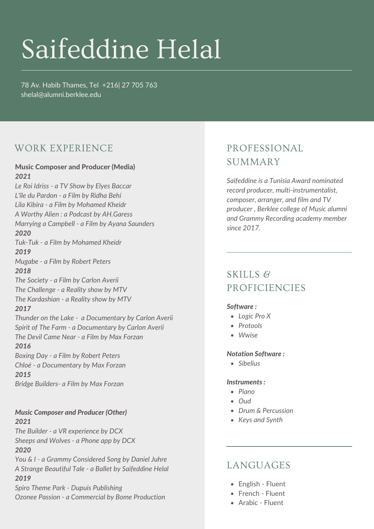# Saifeddine Helal

78 Av. Habib Thames, Tel +216| 27 705 763 [shelal@alumni.berklee.](mailto:shelal@alumni.berklee)edu

## WORK EXPERIENCE

## Music Composer and Producer (Media) SUMMARY *2021*

*Le Roi Idriss - a TV Show by Elyes Baccar L'île du Pardon - a Film by Ridha Behi Lila Kibira - a Film by Mohamed Kheidr A Worthy Alien : a Podcast by AH.Garess Marrying a Campbell - a Film by Ayana Saunders 2020 Tuk-Tuk - a Film by Mohamed Kheidr 2019 Mugabe - a Film by Robert Peters 2018 The Society - a Film by Carlon Averii The Challenge - a Reality show by MTV The Kardashian - a Reality show by MTV 2017 Thunder on the Lake - a Documentary by Carlon Averii Spirit of The Farm - a Documentary by Carlon Averii The Devil Came Near - a Film by Max Forzan 2016 Boxing Day - a Film by Robert Peters Chloé - a Documentary by Max Forzan 2015 Bridge Builders- a Film by Max Forzan*

#### *Music Composer and Producer (Other) 2021*

*The Builder - a VR experience by DCX Sheeps and Wolves - a Phone app by DCX 2020 You & I - a Grammy Considered Song by Daniel Juhre A Strange Beautiful Tale - a Ballet by Saifeddine Helal 2019 Spiro Theme Park - Dupuis Publishing*

*Ozonee Passion - a Commercial by Bome Production*

## PROFESSIONAL

*Saifeddine is a Tunisia Award nominated record producer, multi-instrumentalist, composer, arranger, and film and TV producer , Berklee college of Music alumni and Grammy Recording academy member since 2017.*

## SKILLS & PROFICIENCIES

#### *Software :*

- *Logic Pro X*
- *Protools*
- *Wwise*

#### *Notation Software :*

*Sibelius*

#### *Instruments :*

- *Piano*
- *Oud*
- *Drum & Percussion*
- *Keys and Synth*

### LANGUAGES

- English Fluent
- French Fluent
- Arabic Fluent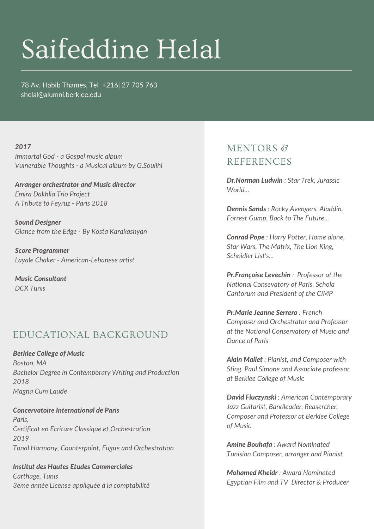## Saifeddine Helal

78 Av. Habib Thames, Tel +216| 27 705 763 [shelal@alumni.berklee.](mailto:shelal@alumni.berklee)edu

#### *2017*

*Immortal God - a Gospel music album Vulnerable Thoughts - a Musical album by G.Souilhi*

*Arranger orchestrator and Music director Emira Dakhlia Trio Project A Tribute to Feyruz - Paris 2018*

*Sound Designer Glance from the Edge - By Kosta Karakashyan*

*Score Programmer Layale Chaker - American-Lebanese artist*

*Music Consultant DCX Tunis*

### EDUCATIONAL BACKGROUND

*Berklee College of Music Boston, MA Bachelor Degree in Contemporary Writing and Production 2018 Magna Cum Laude*

*Concervatoire International de Paris Paris, Certificat en Ecriture Classique et Orchestration 2019 Tonal Harmony, Counterpoint, Fugue and Orchestration*

*Institut des Hautes Etudes Commerciales Carthage, Tunis 3eme année License appliquée à la comptabilité*

## MENTORS & REFERENCES

*Dr.Norman Ludwin : Star Trek, Jurassic World...*

*Dennis Sands : Rocky,Avengers, Aladdin, Forrest Gump, Back to The Future...*

*Conrad Pope : Harry Potter, Home alone, Star Wars, The Matrix, The Lion King, Schnidler List's...*

*Pr.Françoise Levechin : Professor at the National Consevatory of Paris, Schola Cantorum and President of the CIMP*

*Pr.Marie Jeanne Serrero : French Composer and Orchestrator and Professor at the National Conservatory of Music and Dance of Paris*

*Alain Mallet : Pianist, and Composer with Sting, Paul Simone and Associate professor at Berklee College of Music*

*David Fiuczynski : American Contemporary Jazz Guitarist, Bandleader, Reasercher, Composer and Professor at Berklee College of Music*

*Amine Bouhafa : Award Nominated Tunisian Composer, arranger and Pianist*

*Mohamed Kheidr : Award Nominated Egyptian Film and TV Director & Producer*